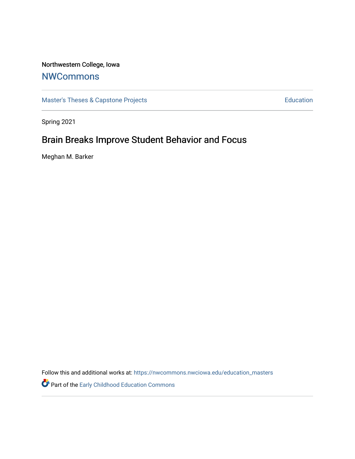# Northwestern College, Iowa

# **[NWCommons](https://nwcommons.nwciowa.edu/)**

[Master's Theses & Capstone Projects](https://nwcommons.nwciowa.edu/education_masters) **Education** Education

Spring 2021

# Brain Breaks Improve Student Behavior and Focus

Meghan M. Barker

Follow this and additional works at: [https://nwcommons.nwciowa.edu/education\\_masters](https://nwcommons.nwciowa.edu/education_masters?utm_source=nwcommons.nwciowa.edu%2Feducation_masters%2F273&utm_medium=PDF&utm_campaign=PDFCoverPages)

Part of the [Early Childhood Education Commons](http://network.bepress.com/hgg/discipline/1377?utm_source=nwcommons.nwciowa.edu%2Feducation_masters%2F273&utm_medium=PDF&utm_campaign=PDFCoverPages)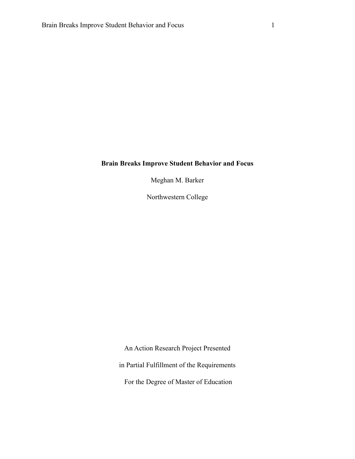# **Brain Breaks Improve Student Behavior and Focus**

Meghan M. Barker

Northwestern College

An Action Research Project Presented in Partial Fulfillment of the Requirements For the Degree of Master of Education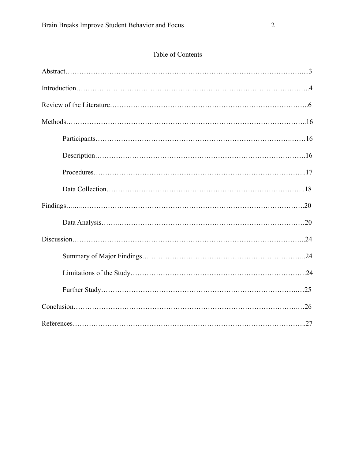# Table of Contents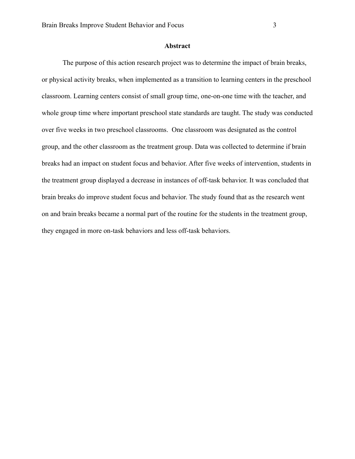#### **Abstract**

The purpose of this action research project was to determine the impact of brain breaks, or physical activity breaks, when implemented as a transition to learning centers in the preschool classroom. Learning centers consist of small group time, one-on-one time with the teacher, and whole group time where important preschool state standards are taught. The study was conducted over five weeks in two preschool classrooms. One classroom was designated as the control group, and the other classroom as the treatment group. Data was collected to determine if brain breaks had an impact on student focus and behavior. After five weeks of intervention, students in the treatment group displayed a decrease in instances of off-task behavior. It was concluded that brain breaks do improve student focus and behavior. The study found that as the research went on and brain breaks became a normal part of the routine for the students in the treatment group, they engaged in more on-task behaviors and less off-task behaviors.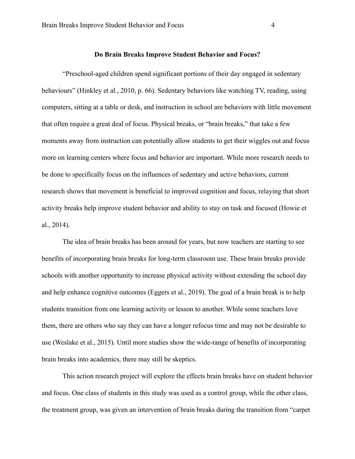## **Do Brain Breaks Improve Student Behavior and Focus?**

"Preschool-aged children spend significant portions of their day engaged in sedentary behaviours" (Hinkley et al., 2010, p. 66). Sedentary behaviors like watching TV, reading, using computers, sitting at a table or desk, and instruction in school are behaviors with little movement that often require a great deal of focus. Physical breaks, or "brain breaks," that take a few moments away from instruction can potentially allow students to get their wiggles out and focus more on learning centers where focus and behavior are important. While more research needs to be done to specifically focus on the influences of sedentary and active behaviors, current research shows that movement is beneficial to improved cognition and focus, relaying that short activity breaks help improve student behavior and ability to stay on task and focused (Howie et al., 2014).

 The idea of brain breaks has been around for years, but now teachers are starting to see benefits of incorporating brain breaks for long-term classroom use. These brain breaks provide schools with another opportunity to increase physical activity without extending the school day and help enhance cognitive outcomes (Eggers et al., 2019). The goal of a brain break is to help students transition from one learning activity or lesson to another. While some teachers love them, there are others who say they can have a longer refocus time and may not be desirable to use (Weslake et al., 2015). Until more studies show the wide-range of benefits of incorporating brain breaks into academics, there may still be skeptics.

 This action research project will explore the effects brain breaks have on student behavior and focus. One class of students in this study was used as a control group, while the other class, the treatment group, was given an intervention of brain breaks during the transition from "carpet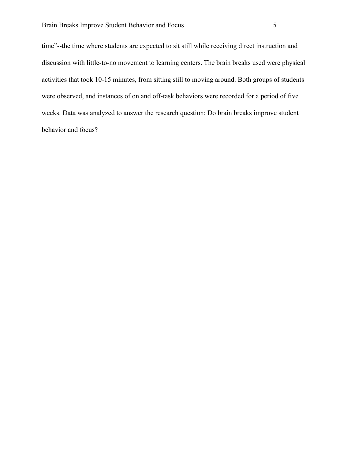time"--the time where students are expected to sit still while receiving direct instruction and discussion with little-to-no movement to learning centers. The brain breaks used were physical activities that took 10-15 minutes, from sitting still to moving around. Both groups of students were observed, and instances of on and off-task behaviors were recorded for a period of five weeks. Data was analyzed to answer the research question: Do brain breaks improve student behavior and focus?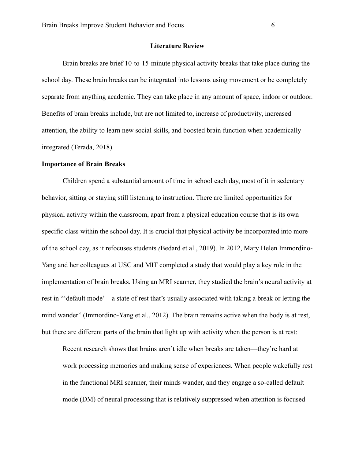#### **Literature Review**

 Brain breaks are brief 10-to-15-minute physical activity breaks that take place during the school day. These brain breaks can be integrated into lessons using movement or be completely separate from anything academic. They can take place in any amount of space, indoor or outdoor. Benefits of brain breaks include, but are not limited to, increase of productivity, increased attention, the ability to learn new social skills, and boosted brain function when academically integrated (Terada, 2018).

# **Importance of Brain Breaks**

 Children spend a substantial amount of time in school each day, most of it in sedentary behavior, sitting or staying still listening to instruction. There are limited opportunities for physical activity within the classroom, apart from a physical education course that is its own specific class within the school day. It is crucial that physical activity be incorporated into more of the school day, as it refocuses students *(*Bedard et al., 2019). In 2012, Mary Helen Immordino-Yang and her colleagues at USC and MIT completed a study that would play a key role in the implementation of brain breaks. Using an MRI scanner, they studied the brain's neural activity at rest in "'default mode'—a state of rest that's usually associated with taking a break or letting the mind wander" (Immordino-Yang et al., 2012). The brain remains active when the body is at rest, but there are different parts of the brain that light up with activity when the person is at rest:

Recent research shows that brains aren't idle when breaks are taken—they're hard at work processing memories and making sense of experiences. When people wakefully rest in the functional MRI scanner, their minds wander, and they engage a so-called default mode (DM) of neural processing that is relatively suppressed when attention is focused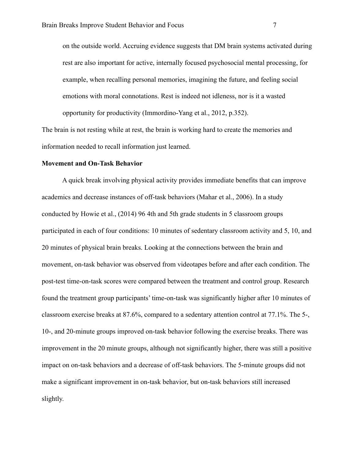on the outside world. Accruing evidence suggests that DM brain systems activated during rest are also important for active, internally focused psychosocial mental processing, for example, when recalling personal memories, imagining the future, and feeling social emotions with moral connotations. Rest is indeed not idleness, nor is it a wasted opportunity for productivity (Immordino-Yang et al., 2012, p.352).

The brain is not resting while at rest, the brain is working hard to create the memories and information needed to recall information just learned.

#### **Movement and On-Task Behavior**

 A quick break involving physical activity provides immediate benefits that can improve academics and decrease instances of off-task behaviors (Mahar et al., 2006). In a study conducted by Howie et al., (2014) 96 4th and 5th grade students in 5 classroom groups participated in each of four conditions: 10 minutes of sedentary classroom activity and 5, 10, and 20 minutes of physical brain breaks. Looking at the connections between the brain and movement, on-task behavior was observed from videotapes before and after each condition. The post-test time-on-task scores were compared between the treatment and control group. Research found the treatment group participants' time-on-task was significantly higher after 10 minutes of classroom exercise breaks at 87.6%, compared to a sedentary attention control at 77.1%. The 5-, 10-, and 20-minute groups improved on-task behavior following the exercise breaks. There was improvement in the 20 minute groups, although not significantly higher, there was still a positive impact on on-task behaviors and a decrease of off-task behaviors. The 5-minute groups did not make a significant improvement in on-task behavior, but on-task behaviors still increased slightly.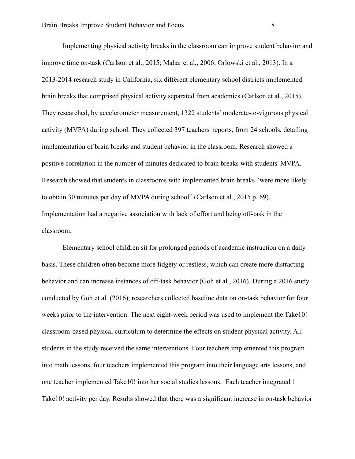Implementing physical activity breaks in the classroom can improve student behavior and improve time on-task (Carlson et al., 2015; Mahar et al,, 2006; Orlowski et al., 2013). In a 2013-2014 research study in California, six different elementary school districts implemented brain breaks that comprised physical activity separated from academics (Carlson et al., 2015). They researched, by accelerometer measurement, 1322 students' moderate-to-vigorous physical activity (MVPA) during school. They collected 397 teachers' reports, from 24 schools, detailing implementation of brain breaks and student behavior in the classroom. Research showed a positive correlation in the number of minutes dedicated to brain breaks with students' MVPA. Research showed that students in classrooms with implemented brain breaks "were more likely to obtain 30 minutes per day of MVPA during school" (Carlson et al., 2015 p. 69). Implementation had a negative association with lack of effort and being off-task in the classroom.

 Elementary school children sit for prolonged periods of academic instruction on a daily basis. These children often become more fidgety or restless, which can create more distracting behavior and can increase instances of off-task behavior (Goh et al., 2016). During a 2016 study conducted by Goh et al. (2016), researchers collected baseline data on on-task behavior for four weeks prior to the intervention. The next eight-week period was used to implement the Take10! classroom-based physical curriculum to determine the effects on student physical activity. All students in the study received the same interventions. Four teachers implemented this program into math lessons, four teachers implemented this program into their language arts lessons, and one teacher implemented Take10! into her social studies lessons. Each teacher integrated 1 Take10! activity per day. Results showed that there was a significant increase in on-task behavior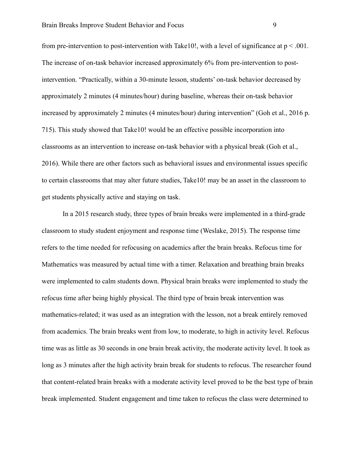from pre-intervention to post-intervention with Take10!, with a level of significance at  $p < .001$ . The increase of on-task behavior increased approximately 6% from pre-intervention to postintervention. "Practically, within a 30-minute lesson, students' on-task behavior decreased by approximately 2 minutes (4 minutes/hour) during baseline, whereas their on-task behavior increased by approximately 2 minutes (4 minutes/hour) during intervention" (Goh et al., 2016 p. 715). This study showed that Take10! would be an effective possible incorporation into classrooms as an intervention to increase on-task behavior with a physical break (Goh et al., 2016). While there are other factors such as behavioral issues and environmental issues specific to certain classrooms that may alter future studies, Take10! may be an asset in the classroom to get students physically active and staying on task.

 In a 2015 research study, three types of brain breaks were implemented in a third-grade classroom to study student enjoyment and response time (Weslake, 2015). The response time refers to the time needed for refocusing on academics after the brain breaks. Refocus time for Mathematics was measured by actual time with a timer. Relaxation and breathing brain breaks were implemented to calm students down. Physical brain breaks were implemented to study the refocus time after being highly physical. The third type of brain break intervention was mathematics-related; it was used as an integration with the lesson, not a break entirely removed from academics. The brain breaks went from low, to moderate, to high in activity level. Refocus time was as little as 30 seconds in one brain break activity, the moderate activity level. It took as long as 3 minutes after the high activity brain break for students to refocus. The researcher found that content-related brain breaks with a moderate activity level proved to be the best type of brain break implemented. Student engagement and time taken to refocus the class were determined to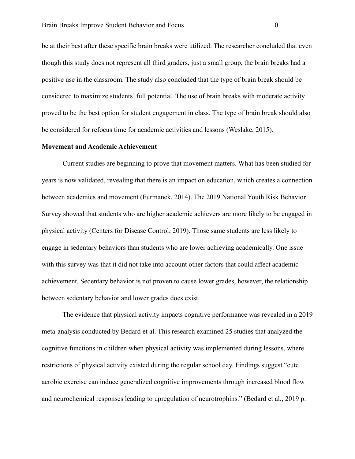be at their best after these specific brain breaks were utilized. The researcher concluded that even though this study does not represent all third graders, just a small group, the brain breaks had a positive use in the classroom. The study also concluded that the type of brain break should be considered to maximize students' full potential. The use of brain breaks with moderate activity proved to be the best option for student engagement in class. The type of brain break should also be considered for refocus time for academic activities and lessons (Weslake, 2015).

## **Movement and Academic Achievement**

 Current studies are beginning to prove that movement matters. What has been studied for years is now validated, revealing that there is an impact on education, which creates a connection between academics and movement (Furmanek, 2014). The 2019 National Youth Risk Behavior Survey showed that students who are higher academic achievers are more likely to be engaged in physical activity (Centers for Disease Control, 2019). Those same students are less likely to engage in sedentary behaviors than students who are lower achieving academically. One issue with this survey was that it did not take into account other factors that could affect academic achievement. Sedentary behavior is not proven to cause lower grades, however, the relationship between sedentary behavior and lower grades does exist.

 The evidence that physical activity impacts cognitive performance was revealed in a 2019 meta-analysis conducted by Bedard et al. This research examined 25 studies that analyzed the cognitive functions in children when physical activity was implemented during lessons, where restrictions of physical activity existed during the regular school day. Findings suggest "cute aerobic exercise can induce generalized cognitive improvements through increased blood flow and neurochemical responses leading to upregulation of neurotrophins." (Bedard et al., 2019 p.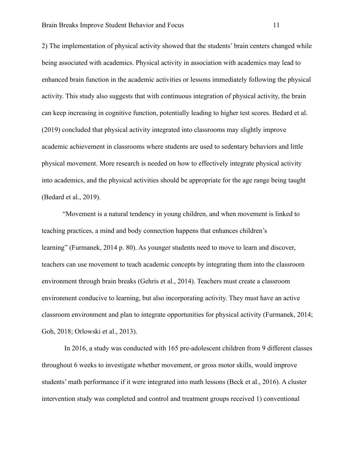2) The implementation of physical activity showed that the students' brain centers changed while being associated with academics. Physical activity in association with academics may lead to enhanced brain function in the academic activities or lessons immediately following the physical activity. This study also suggests that with continuous integration of physical activity, the brain can keep increasing in cognitive function, potentially leading to higher test scores. Bedard et al. (2019) concluded that physical activity integrated into classrooms may slightly improve academic achievement in classrooms where students are used to sedentary behaviors and little physical movement. More research is needed on how to effectively integrate physical activity into academics, and the physical activities should be appropriate for the age range being taught (Bedard et al., 2019).

"Movement is a natural tendency in young children, and when movement is linked to teaching practices, a mind and body connection happens that enhances children's learning" (Furmanek, 2014 p. 80). As younger students need to move to learn and discover, teachers can use movement to teach academic concepts by integrating them into the classroom environment through brain breaks (Gehris et al., 2014). Teachers must create a classroom environment conducive to learning, but also incorporating activity. They must have an active classroom environment and plan to integrate opportunities for physical activity (Furmanek, 2014; Goh, 2018; Orlowski et al., 2013).

 In 2016, a study was conducted with 165 pre-adolescent children from 9 different classes throughout 6 weeks to investigate whether movement, or gross motor skills, would improve students' math performance if it were integrated into math lessons (Beck et al., 2016). A cluster intervention study was completed and control and treatment groups received 1) conventional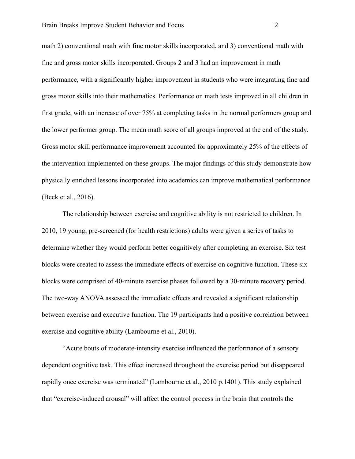math 2) conventional math with fine motor skills incorporated, and 3) conventional math with fine and gross motor skills incorporated. Groups 2 and 3 had an improvement in math performance, with a significantly higher improvement in students who were integrating fine and gross motor skills into their mathematics. Performance on math tests improved in all children in first grade, with an increase of over 75% at completing tasks in the normal performers group and the lower performer group. The mean math score of all groups improved at the end of the study. Gross motor skill performance improvement accounted for approximately 25% of the effects of the intervention implemented on these groups. The major findings of this study demonstrate how physically enriched lessons incorporated into academics can improve mathematical performance (Beck et al., 2016).

 The relationship between exercise and cognitive ability is not restricted to children. In 2010, 19 young, pre-screened (for health restrictions) adults were given a series of tasks to determine whether they would perform better cognitively after completing an exercise. Six test blocks were created to assess the immediate effects of exercise on cognitive function. These six blocks were comprised of 40-minute exercise phases followed by a 30-minute recovery period. The two-way ANOVA assessed the immediate effects and revealed a significant relationship between exercise and executive function. The 19 participants had a positive correlation between exercise and cognitive ability (Lambourne et al., 2010).

 "Acute bouts of moderate-intensity exercise influenced the performance of a sensory dependent cognitive task. This effect increased throughout the exercise period but disappeared rapidly once exercise was terminated" (Lambourne et al., 2010 p.1401). This study explained that "exercise-induced arousal" will affect the control process in the brain that controls the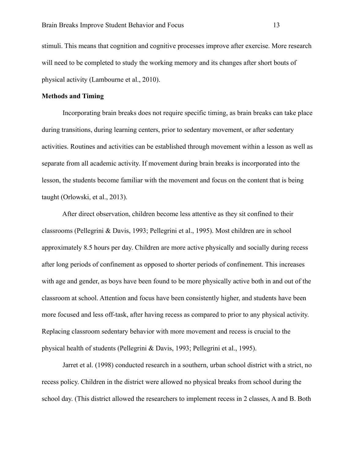stimuli. This means that cognition and cognitive processes improve after exercise. More research will need to be completed to study the working memory and its changes after short bouts of physical activity (Lambourne et al., 2010).

# **Methods and Timing**

 Incorporating brain breaks does not require specific timing, as brain breaks can take place during transitions, during learning centers, prior to sedentary movement, or after sedentary activities. Routines and activities can be established through movement within a lesson as well as separate from all academic activity. If movement during brain breaks is incorporated into the lesson, the students become familiar with the movement and focus on the content that is being taught (Orlowski, et al., 2013).

 After direct observation, children become less attentive as they sit confined to their classrooms [\(Pellegrini & Davis, 1993](https://www-proquest-com.ezproxy.nwciowa.edu/docview/614420977?accountid=28306#REF_c17); [Pellegrini et al., 1995\)](https://www-proquest-com.ezproxy.nwciowa.edu/docview/614420977?accountid=28306#REF_c18). Most children are in school approximately 8.5 hours per day. Children are more active physically and socially during recess after long periods of confinement as opposed to shorter periods of confinement. This increases with age and gender, as boys have been found to be more physically active both in and out of the classroom at school. Attention and focus have been consistently higher, and students have been more focused and less off-task, after having recess as compared to prior to any physical activity. Replacing classroom sedentary behavior with more movement and recess is crucial to the physical health of students ([Pellegrini & Davis, 1993;](https://www-proquest-com.ezproxy.nwciowa.edu/docview/614420977?accountid=28306#REF_c17) [Pellegrini et al., 1995\)](https://www-proquest-com.ezproxy.nwciowa.edu/docview/614420977?accountid=28306#REF_c18).

 Jarret et al. (1998) conducted research in a southern, urban school district with a strict, no recess policy. Children in the district were allowed no physical breaks from school during the school day. (This district allowed the researchers to implement recess in 2 classes, A and B. Both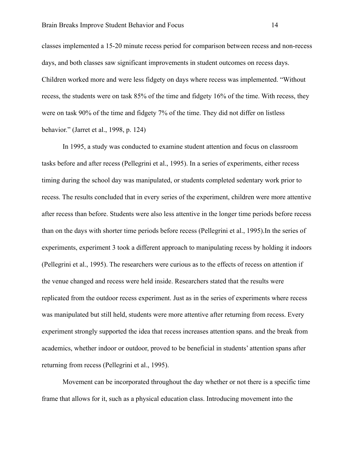classes implemented a 15-20 minute recess period for comparison between recess and non-recess days, and both classes saw significant improvements in student outcomes on recess days. Children worked more and were less fidgety on days where recess was implemented. "Without recess, the students were on task 85% of the time and fidgety 16% of the time. With recess, they were on task 90% of the time and fidgety 7% of the time. They did not differ on listless behavior." (Jarret et al., 1998, p. 124)

 In 1995, a study was conducted to examine student attention and focus on classroom tasks before and after recess (Pellegrini et al., 1995). In a series of experiments, either recess timing during the school day was manipulated, or students completed sedentary work prior to recess. The results concluded that in every series of the experiment, children were more attentive after recess than before. Students were also less attentive in the longer time periods before recess than on the days with shorter time periods before recess (Pellegrini et al., 1995).In the series of experiments, experiment 3 took a different approach to manipulating recess by holding it indoors (Pellegrini et al., 1995). The researchers were curious as to the effects of recess on attention if the venue changed and recess were held inside. Researchers stated that the results were replicated from the outdoor recess experiment. Just as in the series of experiments where recess was manipulated but still held, students were more attentive after returning from recess. Every experiment strongly supported the idea that recess increases attention spans. and the break from academics, whether indoor or outdoor, proved to be beneficial in students' attention spans after returning from recess (Pellegrini et al., 1995).

Movement can be incorporated throughout the day whether or not there is a specific time frame that allows for it, such as a physical education class. Introducing movement into the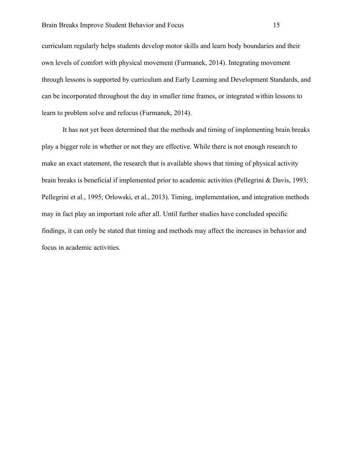curriculum regularly helps students develop motor skills and learn body boundaries and their own levels of comfort with physical movement (Furmanek, 2014). Integrating movement through lessons is supported by curriculum and Early Learning and Development Standards, and can be incorporated throughout the day in smaller time frames, or integrated within lessons to learn to problem solve and refocus (Furmanek, 2014).

 It has not yet been determined that the methods and timing of implementing brain breaks play a bigger role in whether or not they are effective. While there is not enough research to make an exact statement, the research that is available shows that timing of physical activity brain breaks is beneficial if implemented prior to academic activities ([Pellegrini & Davis, 1993;](https://www-proquest-com.ezproxy.nwciowa.edu/docview/614420977?accountid=28306#REF_c17) [Pellegrini et al., 1995;](https://www-proquest-com.ezproxy.nwciowa.edu/docview/614420977?accountid=28306#REF_c18) Orlowski, et al., 2013). Timing, implementation, and integration methods may in fact play an important role after all. Until further studies have concluded specific findings, it can only be stated that timing and methods may affect the increases in behavior and focus in academic activities.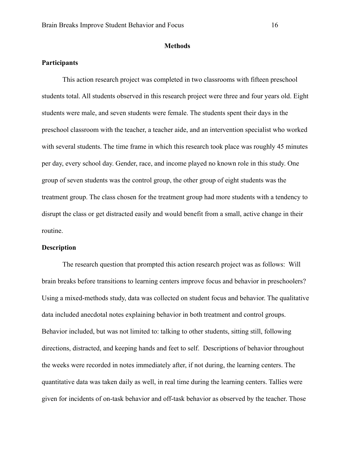#### **Methods**

# **Participants**

 This action research project was completed in two classrooms with fifteen preschool students total. All students observed in this research project were three and four years old. Eight students were male, and seven students were female. The students spent their days in the preschool classroom with the teacher, a teacher aide, and an intervention specialist who worked with several students. The time frame in which this research took place was roughly 45 minutes per day, every school day. Gender, race, and income played no known role in this study. One group of seven students was the control group, the other group of eight students was the treatment group. The class chosen for the treatment group had more students with a tendency to disrupt the class or get distracted easily and would benefit from a small, active change in their routine.

#### **Description**

 The research question that prompted this action research project was as follows: Will brain breaks before transitions to learning centers improve focus and behavior in preschoolers? Using a mixed-methods study, data was collected on student focus and behavior. The qualitative data included anecdotal notes explaining behavior in both treatment and control groups. Behavior included, but was not limited to: talking to other students, sitting still, following directions, distracted, and keeping hands and feet to self. Descriptions of behavior throughout the weeks were recorded in notes immediately after, if not during, the learning centers. The quantitative data was taken daily as well, in real time during the learning centers. Tallies were given for incidents of on-task behavior and off-task behavior as observed by the teacher. Those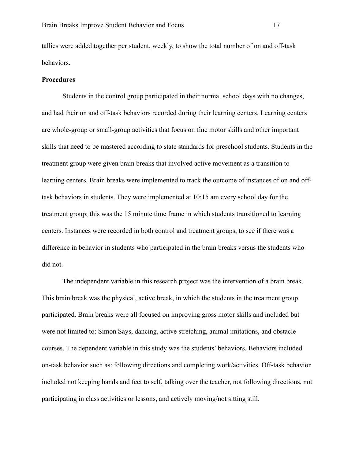tallies were added together per student, weekly, to show the total number of on and off-task behaviors.

#### **Procedures**

 Students in the control group participated in their normal school days with no changes, and had their on and off-task behaviors recorded during their learning centers. Learning centers are whole-group or small-group activities that focus on fine motor skills and other important skills that need to be mastered according to state standards for preschool students. Students in the treatment group were given brain breaks that involved active movement as a transition to learning centers. Brain breaks were implemented to track the outcome of instances of on and offtask behaviors in students. They were implemented at 10:15 am every school day for the treatment group; this was the 15 minute time frame in which students transitioned to learning centers. Instances were recorded in both control and treatment groups, to see if there was a difference in behavior in students who participated in the brain breaks versus the students who did not.

 The independent variable in this research project was the intervention of a brain break. This brain break was the physical, active break, in which the students in the treatment group participated. Brain breaks were all focused on improving gross motor skills and included but were not limited to: Simon Says, dancing, active stretching, animal imitations, and obstacle courses. The dependent variable in this study was the students' behaviors. Behaviors included on-task behavior such as: following directions and completing work/activities. Off-task behavior included not keeping hands and feet to self, talking over the teacher, not following directions, not participating in class activities or lessons, and actively moving/not sitting still.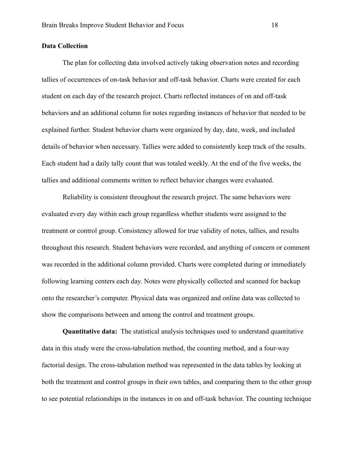# **Data Collection**

 The plan for collecting data involved actively taking observation notes and recording tallies of occurrences of on-task behavior and off-task behavior. Charts were created for each student on each day of the research project. Charts reflected instances of on and off-task behaviors and an additional column for notes regarding instances of behavior that needed to be explained further. Student behavior charts were organized by day, date, week, and included details of behavior when necessary. Tallies were added to consistently keep track of the results. Each student had a daily tally count that was totaled weekly. At the end of the five weeks, the tallies and additional comments written to reflect behavior changes were evaluated.

 Reliability is consistent throughout the research project. The same behaviors were evaluated every day within each group regardless whether students were assigned to the treatment or control group. Consistency allowed for true validity of notes, tallies, and results throughout this research. Student behaviors were recorded, and anything of concern or comment was recorded in the additional column provided. Charts were completed during or immediately following learning centers each day. Notes were physically collected and scanned for backup onto the researcher's computer. Physical data was organized and online data was collected to show the comparisons between and among the control and treatment groups.

**Quantitative data:** The statistical analysis techniques used to understand quantitative data in this study were the cross-tabulation method, the counting method, and a four-way factorial design. The cross-tabulation method was represented in the data tables by looking at both the treatment and control groups in their own tables, and comparing them to the other group to see potential relationships in the instances in on and off-task behavior. The counting technique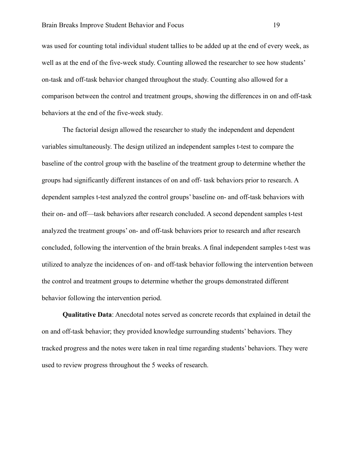was used for counting total individual student tallies to be added up at the end of every week, as well as at the end of the five-week study. Counting allowed the researcher to see how students' on-task and off-task behavior changed throughout the study. Counting also allowed for a comparison between the control and treatment groups, showing the differences in on and off-task behaviors at the end of the five-week study.

The factorial design allowed the researcher to study the independent and dependent variables simultaneously. The design utilized an independent samples t-test to compare the baseline of the control group with the baseline of the treatment group to determine whether the groups had significantly different instances of on and off- task behaviors prior to research. A dependent samples t-test analyzed the control groups' baseline on- and off-task behaviors with their on- and off—task behaviors after research concluded. A second dependent samples t-test analyzed the treatment groups' on- and off-task behaviors prior to research and after research concluded, following the intervention of the brain breaks. A final independent samples t-test was utilized to analyze the incidences of on- and off-task behavior following the intervention between the control and treatment groups to determine whether the groups demonstrated different behavior following the intervention period.

**Qualitative Data**: Anecdotal notes served as concrete records that explained in detail the on and off-task behavior; they provided knowledge surrounding students' behaviors. They tracked progress and the notes were taken in real time regarding students' behaviors. They were used to review progress throughout the 5 weeks of research.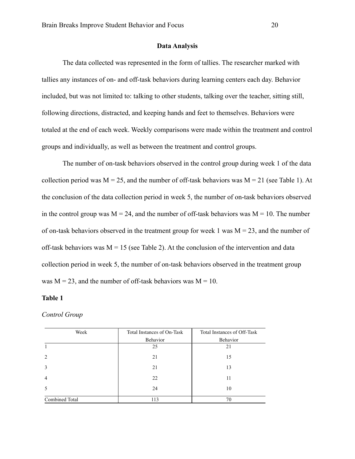#### **Data Analysis**

The data collected was represented in the form of tallies. The researcher marked with tallies any instances of on- and off-task behaviors during learning centers each day. Behavior included, but was not limited to: talking to other students, talking over the teacher, sitting still, following directions, distracted, and keeping hands and feet to themselves. Behaviors were totaled at the end of each week. Weekly comparisons were made within the treatment and control groups and individually, as well as between the treatment and control groups.

The number of on-task behaviors observed in the control group during week 1 of the data collection period was  $M = 25$ , and the number of off-task behaviors was  $M = 21$  (see Table 1). At the conclusion of the data collection period in week 5, the number of on-task behaviors observed in the control group was  $M = 24$ , and the number of off-task behaviors was  $M = 10$ . The number of on-task behaviors observed in the treatment group for week 1 was  $M = 23$ , and the number of off-task behaviors was  $M = 15$  (see Table 2). At the conclusion of the intervention and data collection period in week 5, the number of on-task behaviors observed in the treatment group was  $M = 23$ , and the number of off-task behaviors was  $M = 10$ .

## **Table 1**

#### *Control Group*

| Week           | Total Instances of On-Task | Total Instances of Off-Task |
|----------------|----------------------------|-----------------------------|
|                | Behavior                   | Behavior                    |
|                | 25                         | 21                          |
| 2              | 21                         | 15                          |
| 3              | 21                         | 13                          |
| $\overline{4}$ | 22                         | 11                          |
| 5              | 24                         | 10                          |
| Combined Total | 113                        | 70                          |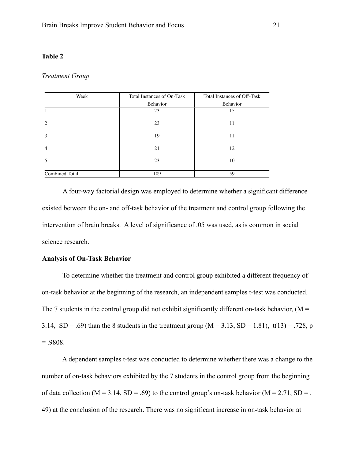#### **Table 2**

#### *Treatment Group*

| Week           | Total Instances of On-Task | Total Instances of Off-Task |
|----------------|----------------------------|-----------------------------|
|                | Behavior                   | Behavior                    |
|                | 23                         | 15                          |
| 2              | 23                         | 11                          |
| $\overline{3}$ | 19                         | 11                          |
| $\overline{4}$ | 21                         | 12                          |
| 5              | 23                         | 10                          |
| Combined Total | 109                        | 59                          |

A four-way factorial design was employed to determine whether a significant difference existed between the on- and off-task behavior of the treatment and control group following the intervention of brain breaks. A level of significance of .05 was used, as is common in social science research.

# **Analysis of On-Task Behavior**

 To determine whether the treatment and control group exhibited a different frequency of on-task behavior at the beginning of the research, an independent samples t-test was conducted. The 7 students in the control group did not exhibit significantly different on-task behavior, ( $M =$ 3.14,  $SD = .69$ ) than the 8 students in the treatment group (M = 3.13,  $SD = 1.81$ ),  $t(13) = .728$ , p  $= .9808.$ 

 A dependent samples t-test was conducted to determine whether there was a change to the number of on-task behaviors exhibited by the 7 students in the control group from the beginning of data collection ( $M = 3.14$ ,  $SD = .69$ ) to the control group's on-task behavior ( $M = 2.71$ ,  $SD = .$ 49) at the conclusion of the research. There was no significant increase in on-task behavior at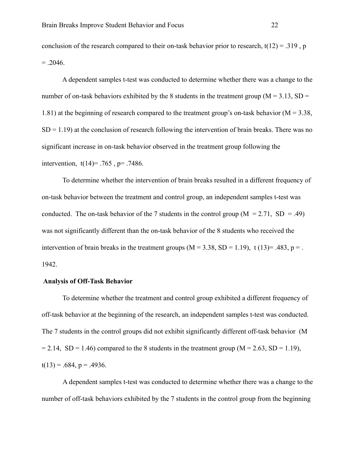conclusion of the research compared to their on-task behavior prior to research,  $t(12) = .319$ , p  $=.2046.$ 

 A dependent samples t-test was conducted to determine whether there was a change to the number of on-task behaviors exhibited by the 8 students in the treatment group ( $M = 3.13$ , SD = 1.81) at the beginning of research compared to the treatment group's on-task behavior ( $M = 3.38$ ,  $SD = 1.19$ ) at the conclusion of research following the intervention of brain breaks. There was no significant increase in on-task behavior observed in the treatment group following the intervention,  $t(14)= .765$ ,  $p= .7486$ .

 To determine whether the intervention of brain breaks resulted in a different frequency of on-task behavior between the treatment and control group, an independent samples t-test was conducted. The on-task behavior of the 7 students in the control group ( $M = 2.71$ , SD = .49) was not significantly different than the on-task behavior of the 8 students who received the intervention of brain breaks in the treatment groups  $(M = 3.38, SD = 1.19)$ , t  $(13)=.483, p =$ . 1942.

### **Analysis of Off-Task Behavior**

 To determine whether the treatment and control group exhibited a different frequency of off-task behavior at the beginning of the research, an independent samples t-test was conducted. The 7 students in the control groups did not exhibit significantly different off-task behavior (M  $= 2.14$ ,  $SD = 1.46$ ) compared to the 8 students in the treatment group (M = 2.63, SD = 1.19),  $t(13) = .684$ ,  $p = .4936$ .

A dependent samples t-test was conducted to determine whether there was a change to the number of off-task behaviors exhibited by the 7 students in the control group from the beginning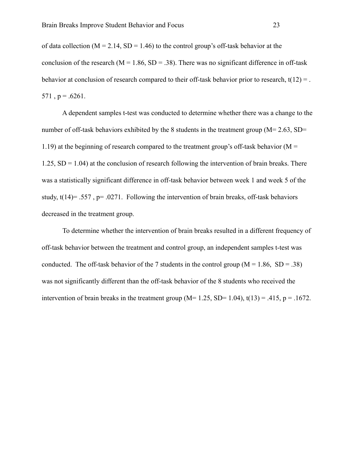of data collection ( $M = 2.14$ ,  $SD = 1.46$ ) to the control group's off-task behavior at the conclusion of the research ( $M = 1.86$ ,  $SD = .38$ ). There was no significant difference in off-task behavior at conclusion of research compared to their off-task behavior prior to research,  $t(12) =$ .  $571$ ,  $p = .6261$ .

 A dependent samples t-test was conducted to determine whether there was a change to the number of off-task behaviors exhibited by the 8 students in the treatment group ( $M= 2.63$ , SD= 1.19) at the beginning of research compared to the treatment group's off-task behavior ( $M =$  $1.25$ , SD = 1.04) at the conclusion of research following the intervention of brain breaks. There was a statistically significant difference in off-task behavior between week 1 and week 5 of the study,  $t(14)$ = .557, p= .0271. Following the intervention of brain breaks, off-task behaviors decreased in the treatment group.

 To determine whether the intervention of brain breaks resulted in a different frequency of off-task behavior between the treatment and control group, an independent samples t-test was conducted. The off-task behavior of the 7 students in the control group  $(M = 1.86, SD = .38)$ was not significantly different than the off-task behavior of the 8 students who received the intervention of brain breaks in the treatment group ( $M= 1.25$ ,  $SD= 1.04$ ),  $t(13) = .415$ ,  $p = .1672$ .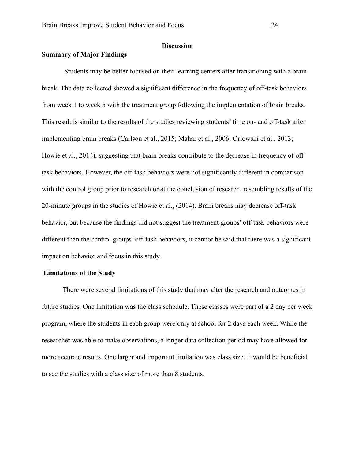# **Discussion**

# **Summary of Major Findings**

 Students may be better focused on their learning centers after transitioning with a brain break. The data collected showed a significant difference in the frequency of off-task behaviors from week 1 to week 5 with the treatment group following the implementation of brain breaks. This result is similar to the results of the studies reviewing students' time on- and off-task after implementing brain breaks (Carlson et al., 2015; Mahar et al., 2006; Orlowski et al., 2013; Howie et al., 2014), suggesting that brain breaks contribute to the decrease in frequency of offtask behaviors. However, the off-task behaviors were not significantly different in comparison with the control group prior to research or at the conclusion of research, resembling results of the 20-minute groups in the studies of Howie et al., (2014). Brain breaks may decrease off-task behavior, but because the findings did not suggest the treatment groups' off-task behaviors were different than the control groups' off-task behaviors, it cannot be said that there was a significant impact on behavior and focus in this study.

#### **Limitations of the Study**

There were several limitations of this study that may alter the research and outcomes in future studies. One limitation was the class schedule. These classes were part of a 2 day per week program, where the students in each group were only at school for 2 days each week. While the researcher was able to make observations, a longer data collection period may have allowed for more accurate results. One larger and important limitation was class size. It would be beneficial to see the studies with a class size of more than 8 students.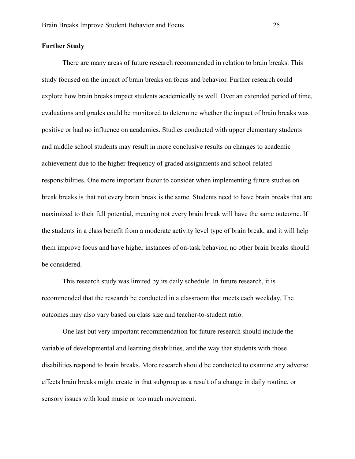# **Further Study**

 There are many areas of future research recommended in relation to brain breaks. This study focused on the impact of brain breaks on focus and behavior. Further research could explore how brain breaks impact students academically as well. Over an extended period of time, evaluations and grades could be monitored to determine whether the impact of brain breaks was positive or had no influence on academics. Studies conducted with upper elementary students and middle school students may result in more conclusive results on changes to academic achievement due to the higher frequency of graded assignments and school-related responsibilities. One more important factor to consider when implementing future studies on break breaks is that not every brain break is the same. Students need to have brain breaks that are maximized to their full potential, meaning not every brain break will have the same outcome. If the students in a class benefit from a moderate activity level type of brain break, and it will help them improve focus and have higher instances of on-task behavior, no other brain breaks should be considered.

 This research study was limited by its daily schedule. In future research, it is recommended that the research be conducted in a classroom that meets each weekday. The outcomes may also vary based on class size and teacher-to-student ratio.

 One last but very important recommendation for future research should include the variable of developmental and learning disabilities, and the way that students with those disabilities respond to brain breaks. More research should be conducted to examine any adverse effects brain breaks might create in that subgroup as a result of a change in daily routine, or sensory issues with loud music or too much movement.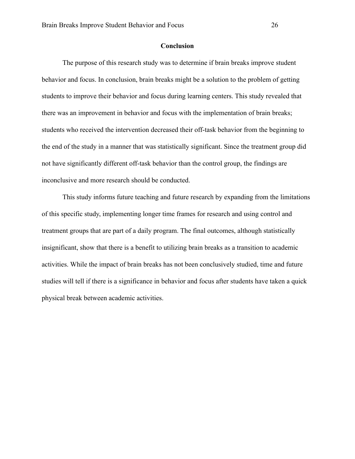# **Conclusion**

 The purpose of this research study was to determine if brain breaks improve student behavior and focus. In conclusion, brain breaks might be a solution to the problem of getting students to improve their behavior and focus during learning centers. This study revealed that there was an improvement in behavior and focus with the implementation of brain breaks; students who received the intervention decreased their off-task behavior from the beginning to the end of the study in a manner that was statistically significant. Since the treatment group did not have significantly different off-task behavior than the control group, the findings are inconclusive and more research should be conducted.

 This study informs future teaching and future research by expanding from the limitations of this specific study, implementing longer time frames for research and using control and treatment groups that are part of a daily program. The final outcomes, although statistically insignificant, show that there is a benefit to utilizing brain breaks as a transition to academic activities. While the impact of brain breaks has not been conclusively studied, time and future studies will tell if there is a significance in behavior and focus after students have taken a quick physical break between academic activities.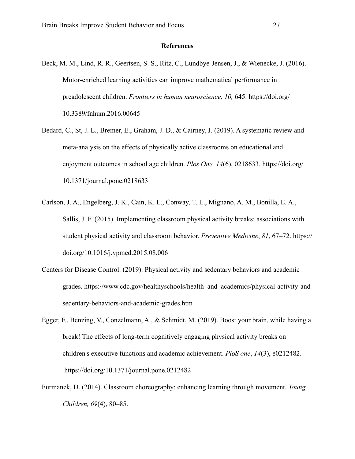#### **References**

- Beck, M. M., Lind, R. R., Geertsen, S. S., Ritz, C., Lundbye-Jensen, J., & Wienecke, J. (2016). Motor-enriched learning activities can improve mathematical performance in preadolescent children. *Frontiers in human neuroscience, 10,* 645. https://doi.org/ 10.3389/fnhum.2016.00645
- Bedard, C., St, J. L., Bremer, E., Graham, J. D., & Cairney, J. (2019). A systematic review and meta-analysis on the effects of physically active classrooms on educational and enjoyment outcomes in school age children. *Plos One, 14*(6), 0218633. https://doi.org/ 10.1371/journal.pone.0218633
- Carlson, J. A., Engelberg, J. K., Cain, K. L., Conway, T. L., Mignano, A. M., Bonilla, E. A., Sallis, J. F. (2015). Implementing classroom physical activity breaks: associations with student physical activity and classroom behavior. *Preventive Medicine*, *81*, 67–72. https:// doi.org/10.1016/j.ypmed.2015.08.006
- Centers for Disease Control. (2019). Physical activity and sedentary behaviors and academic grades. https://www.cdc.gov/healthyschools/health\_and\_academics/physical-activity-and sedentary-behaviors-and-academic-grades.htm
- Egger, F., Benzing, V., Conzelmann, A., & Schmidt, M. (2019). Boost your brain, while having a break! The effects of long-term cognitively engaging physical activity breaks on children's executive functions and academic achievement. *PloS one*, *14*(3), e0212482. https://doi.org/10.1371/journal.pone.0212482
- Furmanek, D. (2014). Classroom choreography: enhancing learning through movement. *Young Children, 69*(4), 80–85.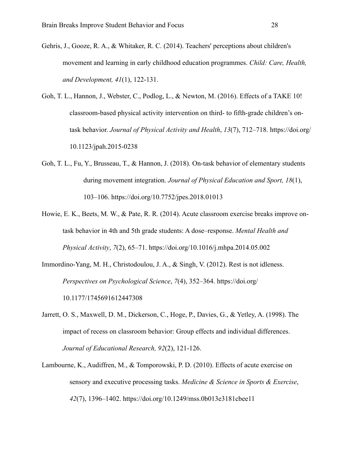- Gehris, J., Gooze, R. A., & Whitaker, R. C. (2014). Teachers' perceptions about children's movement and learning in early childhood education programmes. *Child: Care, Health, and Development, 41*(1), 122-131.
- Goh, T. L., Hannon, J., Webster, C., Podlog, L., & Newton, M. (2016). Effects of a TAKE 10! classroom-based physical activity intervention on third- to fifth-grade children's ontask behavior. *Journal of Physical Activity and Health*, *13*(7), 712–718. https://doi.org/ 10.1123/jpah.2015-0238
- Goh, T. L., Fu, Y., Brusseau, T., & Hannon, J. (2018). On-task behavior of elementary students during movement integration. *Journal of Physical Education and Sport, 18*(1), 103–106. https://doi.org/10.7752/jpes.2018.01013
- Howie, E. K., Beets, M. W., & Pate, R. R. (2014). Acute classroom exercise breaks improve on task behavior in 4th and 5th grade students: A dose–response. *Mental Health and Physical Activity*, *7*(2), 65–71. https://doi.org/10.1016/j.mhpa.2014.05.002
- Immordino-Yang, M. H., Christodoulou, J. A., & Singh, V. (2012). Rest is not idleness. *Perspectives on Psychological Science*, *7*(4), 352–364. https://doi.org/ 10.1177/1745691612447308
- Jarrett, O. S., Maxwell, D. M., Dickerson, C., Hoge, P., Davies, G., & Yetley, A. (1998). The impact of recess on classroom behavior: Group effects and individual differences. *Journal of Educational Research, 92*(2), 121-126.
- Lambourne, K., Audiffren, M., & Tomporowski, P. D. (2010). Effects of acute exercise on sensory and executive processing tasks. *Medicine & Science in Sports & Exercise*, *42*(7), 1396–1402. https://doi.org/10.1249/mss.0b013e3181cbee11